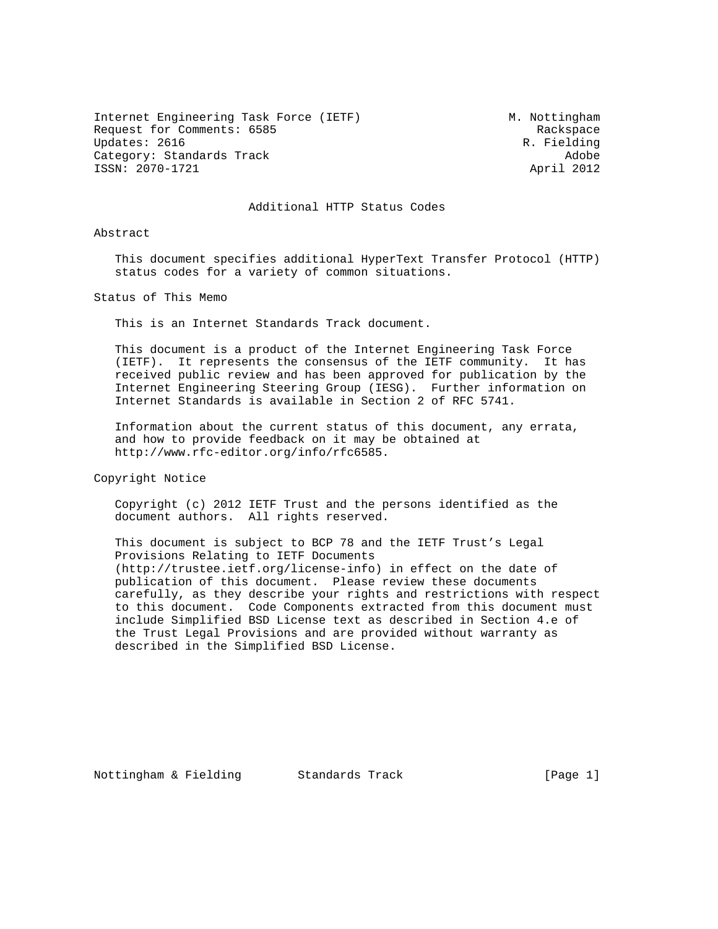Internet Engineering Task Force (IETF) M. Nottingham Request for Comments: 6585 Request for Comments: 6585 Updates: 2616 R. Fielding Category: Standards Track (Adobe 2012)<br>ISSN: 2070-1721 April 2012 ISSN: 2070-1721

## Additional HTTP Status Codes

Abstract

 This document specifies additional HyperText Transfer Protocol (HTTP) status codes for a variety of common situations.

Status of This Memo

This is an Internet Standards Track document.

 This document is a product of the Internet Engineering Task Force (IETF). It represents the consensus of the IETF community. It has received public review and has been approved for publication by the Internet Engineering Steering Group (IESG). Further information on Internet Standards is available in Section 2 of RFC 5741.

 Information about the current status of this document, any errata, and how to provide feedback on it may be obtained at http://www.rfc-editor.org/info/rfc6585.

Copyright Notice

 Copyright (c) 2012 IETF Trust and the persons identified as the document authors. All rights reserved.

 This document is subject to BCP 78 and the IETF Trust's Legal Provisions Relating to IETF Documents (http://trustee.ietf.org/license-info) in effect on the date of publication of this document. Please review these documents carefully, as they describe your rights and restrictions with respect to this document. Code Components extracted from this document must include Simplified BSD License text as described in Section 4.e of the Trust Legal Provisions and are provided without warranty as described in the Simplified BSD License.

Nottingham & Fielding Standards Track [Page 1]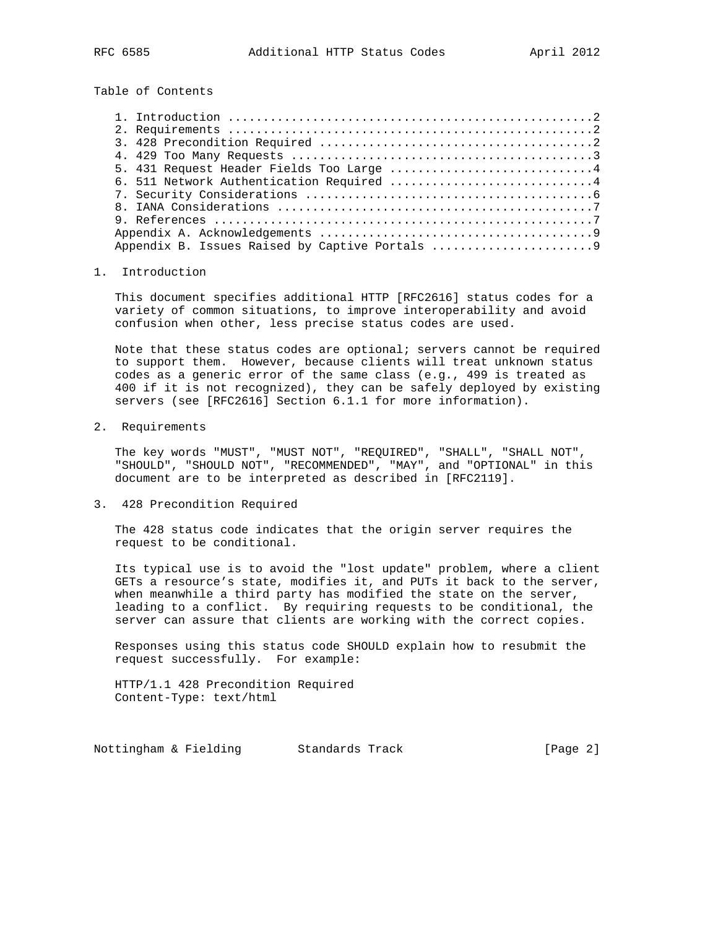Table of Contents

| 6. 511 Network Authentication Required 4 |  |
|------------------------------------------|--|
|                                          |  |
|                                          |  |
|                                          |  |
|                                          |  |
|                                          |  |

### 1. Introduction

 This document specifies additional HTTP [RFC2616] status codes for a variety of common situations, to improve interoperability and avoid confusion when other, less precise status codes are used.

 Note that these status codes are optional; servers cannot be required to support them. However, because clients will treat unknown status codes as a generic error of the same class (e.g., 499 is treated as 400 if it is not recognized), they can be safely deployed by existing servers (see [RFC2616] Section 6.1.1 for more information).

2. Requirements

 The key words "MUST", "MUST NOT", "REQUIRED", "SHALL", "SHALL NOT", "SHOULD", "SHOULD NOT", "RECOMMENDED", "MAY", and "OPTIONAL" in this document are to be interpreted as described in [RFC2119].

3. 428 Precondition Required

 The 428 status code indicates that the origin server requires the request to be conditional.

 Its typical use is to avoid the "lost update" problem, where a client GETs a resource's state, modifies it, and PUTs it back to the server, when meanwhile a third party has modified the state on the server, leading to a conflict. By requiring requests to be conditional, the server can assure that clients are working with the correct copies.

 Responses using this status code SHOULD explain how to resubmit the request successfully. For example:

 HTTP/1.1 428 Precondition Required Content-Type: text/html

Nottingham & Fielding Standards Track [Page 2]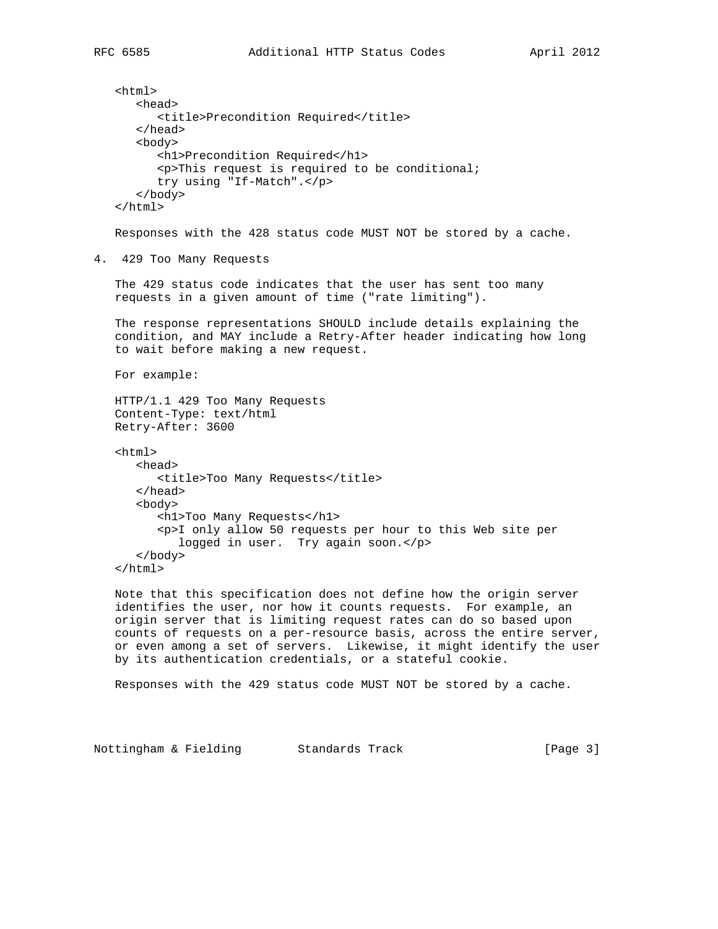```
 <html>
       <head>
          <title>Precondition Required</title>
       </head>
       <body>
          <h1>Precondition Required</h1>
          <p>This request is required to be conditional;
          try using "If-Match".</p>
       </body>
    </html>
    Responses with the 428 status code MUST NOT be stored by a cache.
4. 429 Too Many Requests
    The 429 status code indicates that the user has sent too many
    requests in a given amount of time ("rate limiting").
    The response representations SHOULD include details explaining the
    condition, and MAY include a Retry-After header indicating how long
    to wait before making a new request.
   For example:
   HTTP/1.1 429 Too Many Requests
    Content-Type: text/html
   Retry-After: 3600
    <html>
       <head>
         <title>Too Many Requests</title>
       </head>
       <body>
          <h1>Too Many Requests</h1>
          <p>I only allow 50 requests per hour to this Web site per
             logged in user. Try again soon.</p>
       </body>
    </html>
   Note that this specification does not define how the origin server
```
 identifies the user, nor how it counts requests. For example, an origin server that is limiting request rates can do so based upon counts of requests on a per-resource basis, across the entire server, or even among a set of servers. Likewise, it might identify the user by its authentication credentials, or a stateful cookie.

Responses with the 429 status code MUST NOT be stored by a cache.

Nottingham & Fielding Standards Track [Page 3]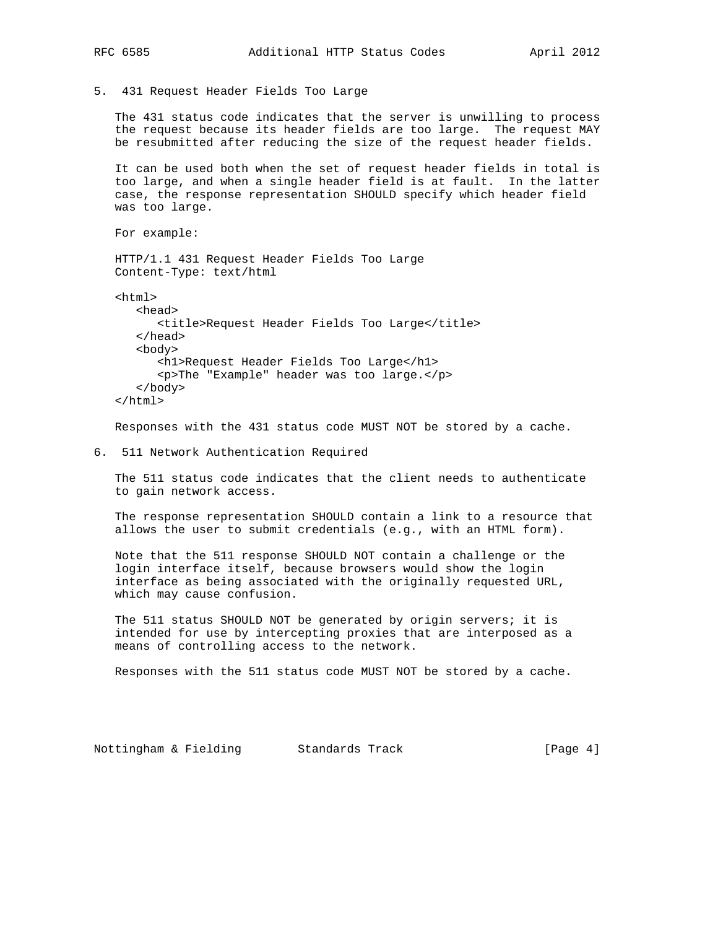5. 431 Request Header Fields Too Large

 The 431 status code indicates that the server is unwilling to process the request because its header fields are too large. The request MAY be resubmitted after reducing the size of the request header fields.

 It can be used both when the set of request header fields in total is too large, and when a single header field is at fault. In the latter case, the response representation SHOULD specify which header field was too large.

For example:

 HTTP/1.1 431 Request Header Fields Too Large Content-Type: text/html

```
 <html>
    <head>
       <title>Request Header Fields Too Large</title>
    </head>
    <body>
       <h1>Request Header Fields Too Large</h1>
       <p>The "Example" header was too large.</p>
    </body>
 </html>
```
Responses with the 431 status code MUST NOT be stored by a cache.

6. 511 Network Authentication Required

 The 511 status code indicates that the client needs to authenticate to gain network access.

 The response representation SHOULD contain a link to a resource that allows the user to submit credentials (e.g., with an HTML form).

 Note that the 511 response SHOULD NOT contain a challenge or the login interface itself, because browsers would show the login interface as being associated with the originally requested URL, which may cause confusion.

 The 511 status SHOULD NOT be generated by origin servers; it is intended for use by intercepting proxies that are interposed as a means of controlling access to the network.

Responses with the 511 status code MUST NOT be stored by a cache.

Nottingham & Fielding Standards Track [Page 4]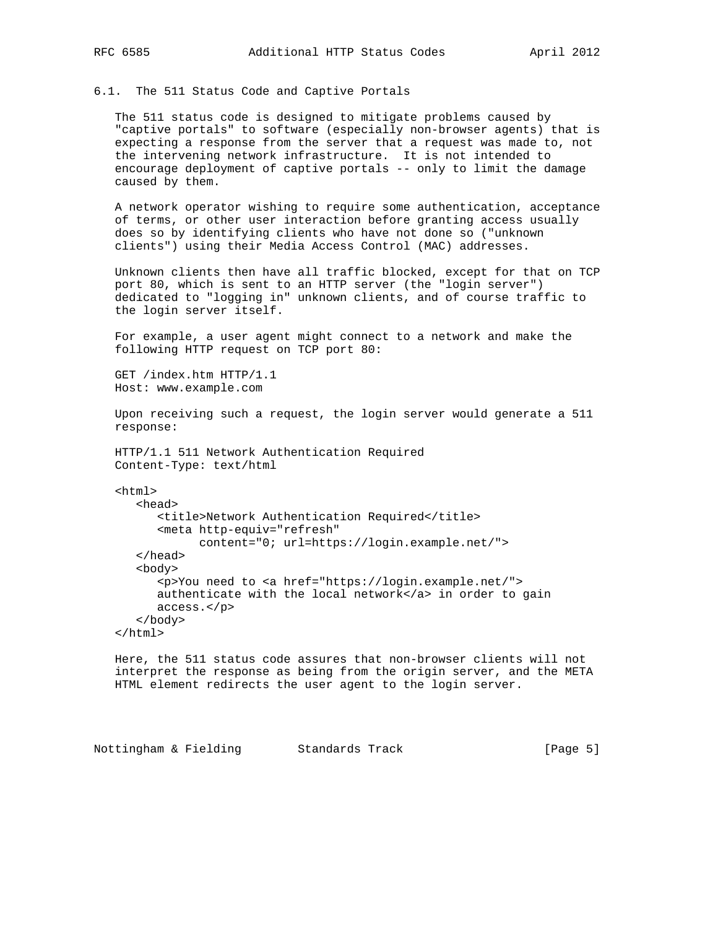### 6.1. The 511 Status Code and Captive Portals

 The 511 status code is designed to mitigate problems caused by "captive portals" to software (especially non-browser agents) that is expecting a response from the server that a request was made to, not the intervening network infrastructure. It is not intended to encourage deployment of captive portals -- only to limit the damage caused by them.

 A network operator wishing to require some authentication, acceptance of terms, or other user interaction before granting access usually does so by identifying clients who have not done so ("unknown clients") using their Media Access Control (MAC) addresses.

 Unknown clients then have all traffic blocked, except for that on TCP port 80, which is sent to an HTTP server (the "login server") dedicated to "logging in" unknown clients, and of course traffic to the login server itself.

 For example, a user agent might connect to a network and make the following HTTP request on TCP port 80:

 GET /index.htm HTTP/1.1 Host: www.example.com

 Upon receiving such a request, the login server would generate a 511 response:

 HTTP/1.1 511 Network Authentication Required Content-Type: text/html

<html>

```
 <head>
       <title>Network Authentication Required</title>
       <meta http-equiv="refresh"
             content="0; url=https://login.example.net/">
    </head>
    <body>
       <p>You need to <a href="https://login.example.net/">
      authenticate with the local network</a> in order to gain
       access.</p>
    </body>
 </html>
```
 Here, the 511 status code assures that non-browser clients will not interpret the response as being from the origin server, and the META HTML element redirects the user agent to the login server.

Nottingham & Fielding Standards Track [Page 5]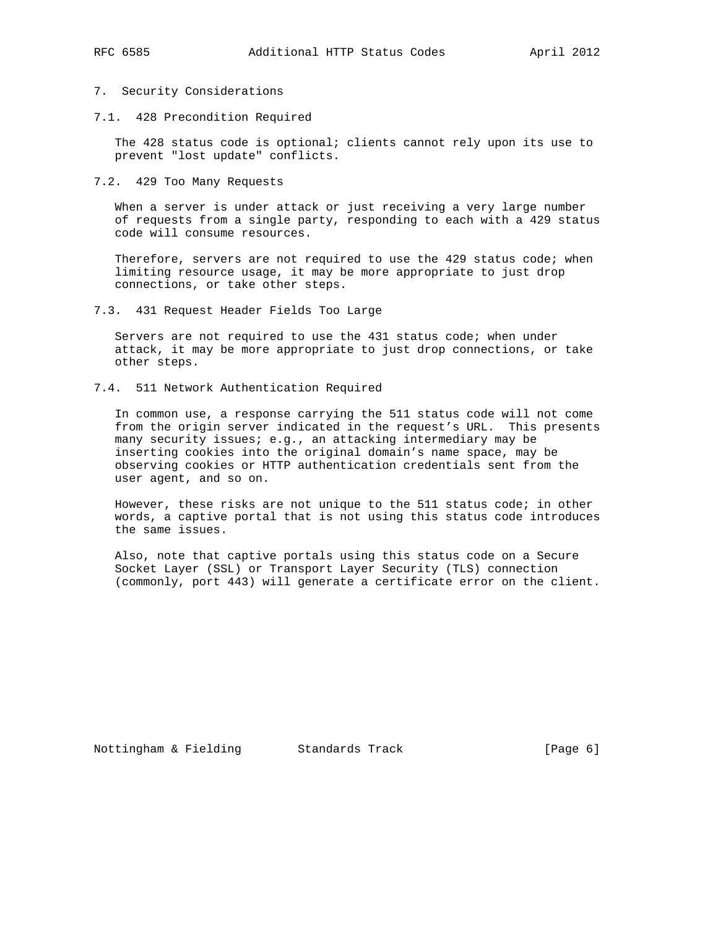# 7. Security Considerations

7.1. 428 Precondition Required

 The 428 status code is optional; clients cannot rely upon its use to prevent "lost update" conflicts.

7.2. 429 Too Many Requests

 When a server is under attack or just receiving a very large number of requests from a single party, responding to each with a 429 status code will consume resources.

Therefore, servers are not required to use the 429 status code; when limiting resource usage, it may be more appropriate to just drop connections, or take other steps.

7.3. 431 Request Header Fields Too Large

 Servers are not required to use the 431 status code; when under attack, it may be more appropriate to just drop connections, or take other steps.

7.4. 511 Network Authentication Required

 In common use, a response carrying the 511 status code will not come from the origin server indicated in the request's URL. This presents many security issues; e.g., an attacking intermediary may be inserting cookies into the original domain's name space, may be observing cookies or HTTP authentication credentials sent from the user agent, and so on.

 However, these risks are not unique to the 511 status code; in other words, a captive portal that is not using this status code introduces the same issues.

 Also, note that captive portals using this status code on a Secure Socket Layer (SSL) or Transport Layer Security (TLS) connection (commonly, port 443) will generate a certificate error on the client.

Nottingham & Fielding Standards Track [Page 6]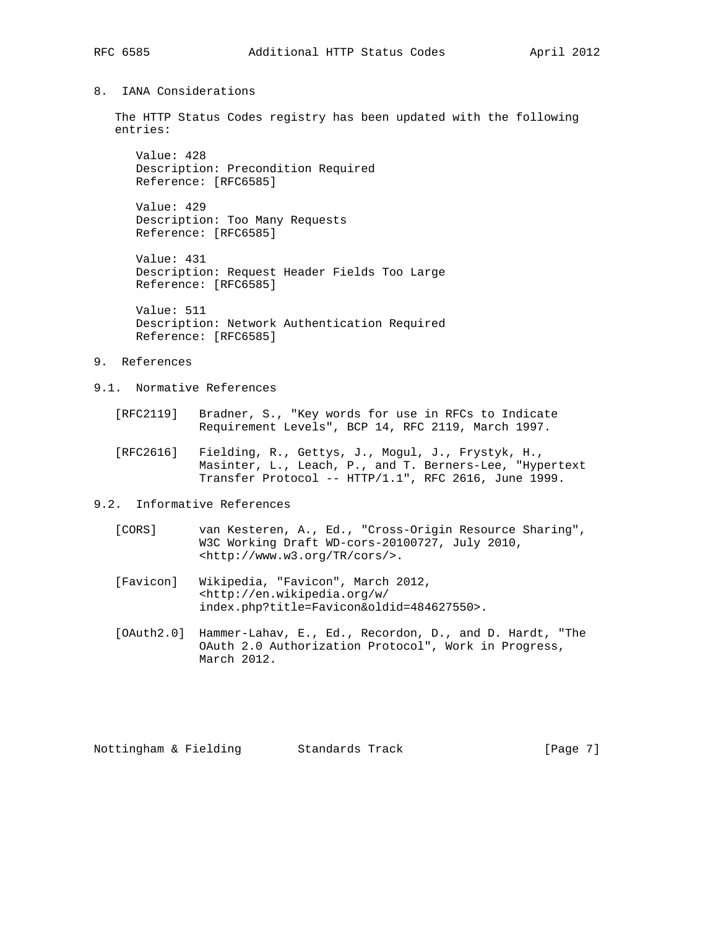# 8. IANA Considerations

 The HTTP Status Codes registry has been updated with the following entries:

 Value: 428 Description: Precondition Required Reference: [RFC6585]

 Value: 429 Description: Too Many Requests Reference: [RFC6585]

 Value: 431 Description: Request Header Fields Too Large Reference: [RFC6585]

 Value: 511 Description: Network Authentication Required Reference: [RFC6585]

## 9. References

- 9.1. Normative References
	- [RFC2119] Bradner, S., "Key words for use in RFCs to Indicate Requirement Levels", BCP 14, RFC 2119, March 1997.
	- [RFC2616] Fielding, R., Gettys, J., Mogul, J., Frystyk, H., Masinter, L., Leach, P., and T. Berners-Lee, "Hypertext Transfer Protocol -- HTTP/1.1", RFC 2616, June 1999.
- 9.2. Informative References
	- [CORS] van Kesteren, A., Ed., "Cross-Origin Resource Sharing", W3C Working Draft WD-cors-20100727, July 2010, <http://www.w3.org/TR/cors/>.
	- [Favicon] Wikipedia, "Favicon", March 2012, <http://en.wikipedia.org/w/ index.php?title=Favicon&oldid=484627550>.
	- [OAuth2.0] Hammer-Lahav, E., Ed., Recordon, D., and D. Hardt, "The OAuth 2.0 Authorization Protocol", Work in Progress, March 2012.

Nottingham & Fielding Standards Track [Page 7]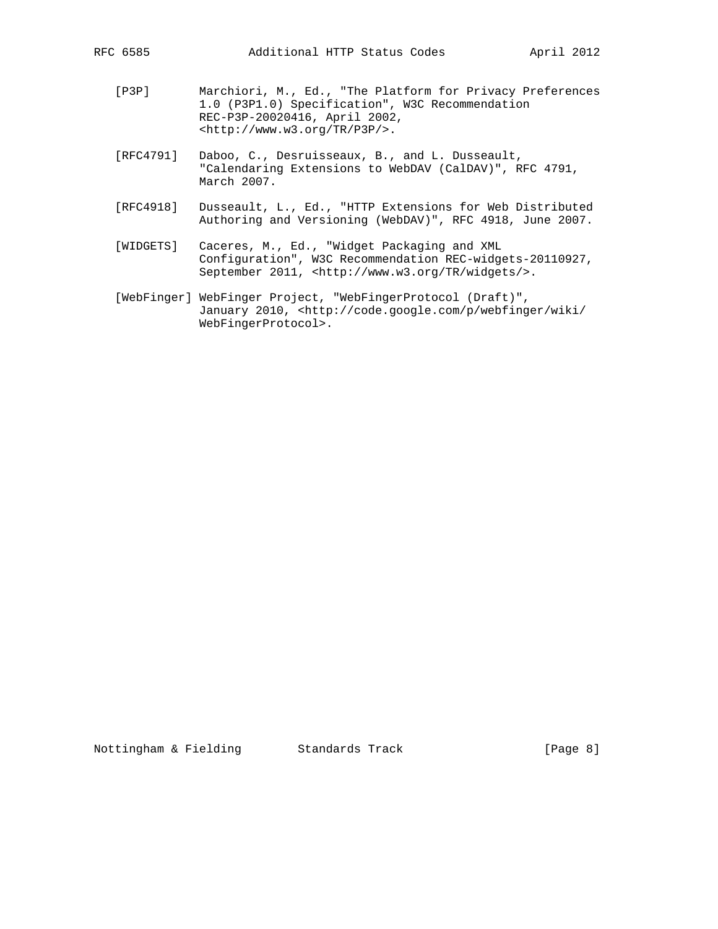- [P3P] Marchiori, M., Ed., "The Platform for Privacy Preferences 1.0 (P3P1.0) Specification", W3C Recommendation REC-P3P-20020416, April 2002, <http://www.w3.org/TR/P3P/>.
- [RFC4791] Daboo, C., Desruisseaux, B., and L. Dusseault, "Calendaring Extensions to WebDAV (CalDAV)", RFC 4791, March 2007.
- [RFC4918] Dusseault, L., Ed., "HTTP Extensions for Web Distributed Authoring and Versioning (WebDAV)", RFC 4918, June 2007.
- [WIDGETS] Caceres, M., Ed., "Widget Packaging and XML Configuration", W3C Recommendation REC-widgets-20110927, September 2011, <http://www.w3.org/TR/widgets/>.
- [WebFinger] WebFinger Project, "WebFingerProtocol (Draft)", January 2010, <http://code.google.com/p/webfinger/wiki/ WebFingerProtocol>.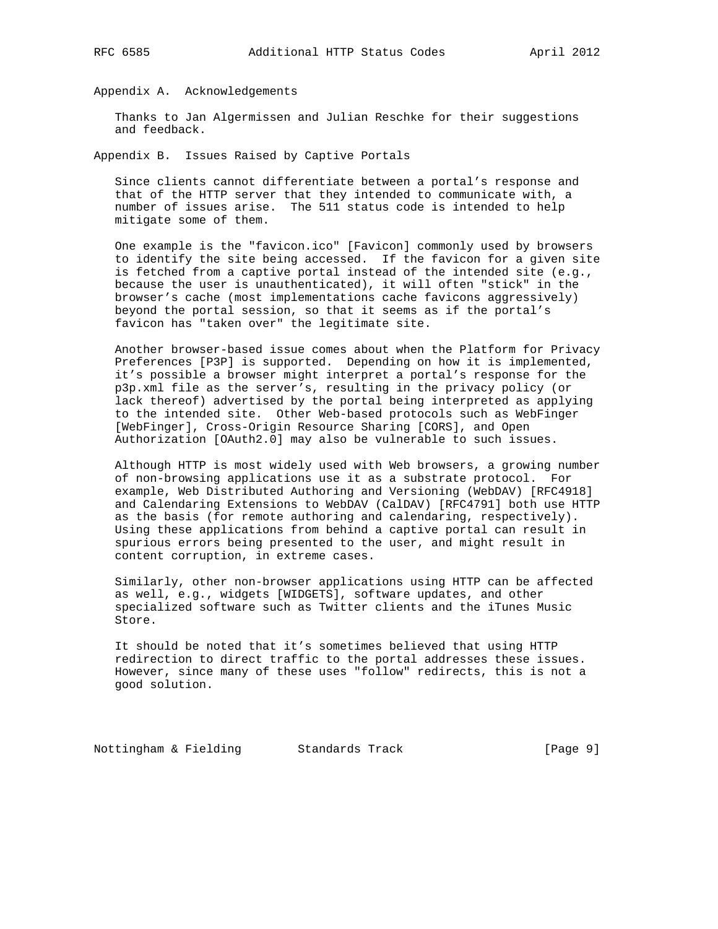Appendix A. Acknowledgements

 Thanks to Jan Algermissen and Julian Reschke for their suggestions and feedback.

Appendix B. Issues Raised by Captive Portals

 Since clients cannot differentiate between a portal's response and that of the HTTP server that they intended to communicate with, a number of issues arise. The 511 status code is intended to help mitigate some of them.

 One example is the "favicon.ico" [Favicon] commonly used by browsers to identify the site being accessed. If the favicon for a given site is fetched from a captive portal instead of the intended site (e.g., because the user is unauthenticated), it will often "stick" in the browser's cache (most implementations cache favicons aggressively) beyond the portal session, so that it seems as if the portal's favicon has "taken over" the legitimate site.

 Another browser-based issue comes about when the Platform for Privacy Preferences [P3P] is supported. Depending on how it is implemented, it's possible a browser might interpret a portal's response for the p3p.xml file as the server's, resulting in the privacy policy (or lack thereof) advertised by the portal being interpreted as applying to the intended site. Other Web-based protocols such as WebFinger [WebFinger], Cross-Origin Resource Sharing [CORS], and Open Authorization [OAuth2.0] may also be vulnerable to such issues.

 Although HTTP is most widely used with Web browsers, a growing number of non-browsing applications use it as a substrate protocol. For example, Web Distributed Authoring and Versioning (WebDAV) [RFC4918] and Calendaring Extensions to WebDAV (CalDAV) [RFC4791] both use HTTP as the basis (for remote authoring and calendaring, respectively). Using these applications from behind a captive portal can result in spurious errors being presented to the user, and might result in content corruption, in extreme cases.

 Similarly, other non-browser applications using HTTP can be affected as well, e.g., widgets [WIDGETS], software updates, and other specialized software such as Twitter clients and the iTunes Music Store.

 It should be noted that it's sometimes believed that using HTTP redirection to direct traffic to the portal addresses these issues. However, since many of these uses "follow" redirects, this is not a good solution.

Nottingham & Fielding Standards Track [Page 9]